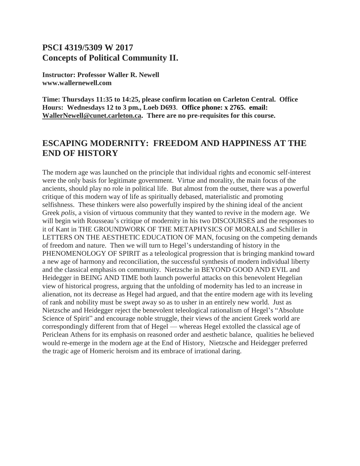# **PSCI 4319/5309 W 2017 Concepts of Political Community II.**

**Instructor: Professor Waller R. Newell www.wallernewell.com**

**Time: Thursdays 11:35 to 14:25, please confirm location on Carleton Central. Office Hours: Wednesdays 12 to 3 pm., Loeb D693**. **Office phone: x 2765. email: [WallerNewell@cunet.carleton.ca.](mailto:WallerNewell@cunet.carleton.ca) There are no pre-requisites for this course.**

# **ESCAPING MODERNITY: FREEDOM AND HAPPINESS AT THE END OF HISTORY**

The modern age was launched on the principle that individual rights and economic self-interest were the only basis for legitimate government. Virtue and morality, the main focus of the ancients, should play no role in political life. But almost from the outset, there was a powerful critique of this modern way of life as spiritually debased, materialistic and promoting selfishness. These thinkers were also powerfully inspired by the shining ideal of the ancient Greek *polis*, a vision of virtuous community that they wanted to revive in the modern age. We will begin with Rousseau's critique of modernity in his two DISCOURSES and the responses to it of Kant in THE GROUNDWORK OF THE METAPHYSICS OF MORALS and Schiller in LETTERS ON THE AESTHETIC EDUCATION OF MAN, focusing on the competing demands of freedom and nature. Then we will turn to Hegel's understanding of history in the PHENOMENOLOGY OF SPIRIT as a teleological progression that is bringing mankind toward a new age of harmony and reconciliation, the successful synthesis of modern individual liberty and the classical emphasis on community. Nietzsche in BEYOND GOOD AND EVIL and Heidegger in BEING AND TIME both launch powerful attacks on this benevolent Hegelian view of historical progress, arguing that the unfolding of modernity has led to an increase in alienation, not its decrease as Hegel had argued, and that the entire modern age with its leveling of rank and nobility must be swept away so as to usher in an entirely new world. Just as Nietzsche and Heidegger reject the benevolent teleological rationalism of Hegel's "Absolute Science of Spirit" and encourage noble struggle, their views of the ancient Greek world are correspondingly different from that of Hegel — whereas Hegel extolled the classical age of Periclean Athens for its emphasis on reasoned order and aesthetic balance, qualities he believed would re-emerge in the modern age at the End of History, Nietzsche and Heidegger preferred the tragic age of Homeric heroism and its embrace of irrational daring.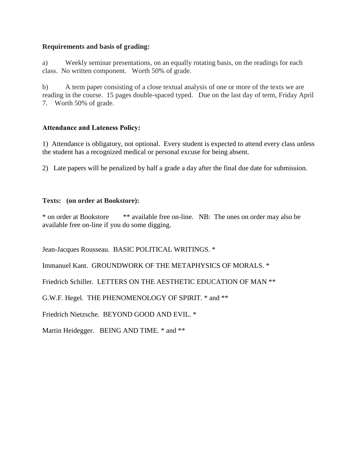### **Requirements and basis of grading:**

a) Weekly seminar presentations, on an equally rotating basis, on the readings for each class. No written component. Worth 50% of grade.

b) A term paper consisting of a close textual analysis of one or more of the texts we are reading in the course. 15 pages double-spaced typed. Due on the last day of term, Friday April 7. Worth 50% of grade.

# **Attendance and Lateness Policy:**

1) Attendance is obligatory, not optional. Every student is expected to attend every class unless the student has a recognized medical or personal excuse for being absent.

2) Late papers will be penalized by half a grade a day after the final due date for submission.

## **Texts: (on order at Bookstore):**

\* on order at Bookstore \*\* available free on-line. NB: The ones on order may also be available free on-line if you do some digging.

Jean-Jacques Rousseau. BASIC POLITICAL WRITINGS. \*

Immanuel Kant. GROUNDWORK OF THE METAPHYSICS OF MORALS. \*

Friedrich Schiller. LETTERS ON THE AESTHETIC EDUCATION OF MAN \*\*

G.W.F. Hegel. THE PHENOMENOLOGY OF SPIRIT. \* and \*\*

Friedrich Nietzsche. BEYOND GOOD AND EVIL. \*

Martin Heidegger. BEING AND TIME. \* and \*\*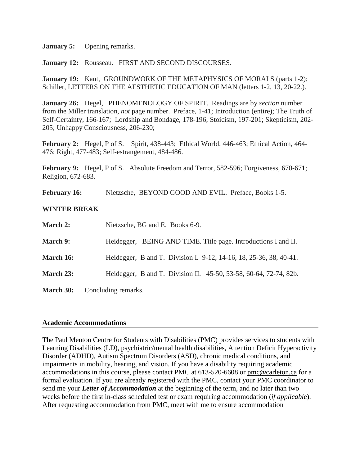**January 5:** Opening remarks.

**January 12:** Rousseau. FIRST AND SECOND DISCOURSES.

**January 19:** Kant, GROUNDWORK OF THE METAPHYSICS OF MORALS (parts 1-2); Schiller, LETTERS ON THE AESTHETIC EDUCATION OF MAN (letters 1-2, 13, 20-22.).

**January 26:** Hegel, PHENOMENOLOGY OF SPIRIT. Readings are by *section* number from the Miller translation, *not* page number. Preface, 1-41; Introduction (entire); The Truth of Self-Certainty, 166-167; Lordship and Bondage, 178-196; Stoicism, 197-201; Skepticism, 202- 205; Unhappy Consciousness, 206-230;

**February 2:** Hegel, P of S. Spirit, 438-443; Ethical World, 446-463; Ethical Action, 464- 476; Right, 477-483; Self-estrangement, 484-486.

**February 9:** Hegel, P of S. Absolute Freedom and Terror, 582-596; Forgiveness, 670-671; Religion, 672-683.

**February 16:** Nietzsche, BEYOND GOOD AND EVIL. Preface, Books 1-5.

### **WINTER BREAK**

| <b>March 2:</b> | Nietzsche, BG and E. Books 6-9.                                    |  |  |  |  |
|-----------------|--------------------------------------------------------------------|--|--|--|--|
| <b>March 9:</b> | Heidegger, BEING AND TIME. Title page. Introductions I and II.     |  |  |  |  |
| March 16:       | Heidegger, B and T. Division I. 9-12, 14-16, 18, 25-36, 38, 40-41. |  |  |  |  |
| March 23:       | Heidegger, B and T. Division II. 45-50, 53-58, 60-64, 72-74, 82b.  |  |  |  |  |
| March 30:       | Concluding remarks.                                                |  |  |  |  |

#### **Academic Accommodations**

The Paul Menton Centre for Students with Disabilities (PMC) provides services to students with Learning Disabilities (LD), psychiatric/mental health disabilities, Attention Deficit Hyperactivity Disorder (ADHD), Autism Spectrum Disorders (ASD), chronic medical conditions, and impairments in mobility, hearing, and vision. If you have a disability requiring academic accommodations in this course, please contact PMC at 613-520-6608 or [pmc@carleton.ca](mailto:pmc@carleton.ca) for a formal evaluation. If you are already registered with the PMC, contact your PMC coordinator to send me your *Letter of Accommodation* at the beginning of the term, and no later than two weeks before the first in-class scheduled test or exam requiring accommodation (*if applicable*). After requesting accommodation from PMC, meet with me to ensure accommodation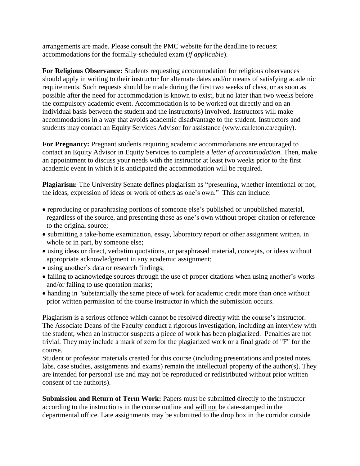arrangements are made. Please consult the PMC website for the deadline to request accommodations for the formally-scheduled exam (*if applicable*).

**For Religious Observance:** Students requesting accommodation for religious observances should apply in writing to their instructor for alternate dates and/or means of satisfying academic requirements. Such requests should be made during the first two weeks of class, or as soon as possible after the need for accommodation is known to exist, but no later than two weeks before the compulsory academic event. Accommodation is to be worked out directly and on an individual basis between the student and the instructor(s) involved. Instructors will make accommodations in a way that avoids academic disadvantage to the student. Instructors and students may contact an Equity Services Advisor for assistance (www.carleton.ca/equity).

**For Pregnancy:** Pregnant students requiring academic accommodations are encouraged to contact an Equity Advisor in Equity Services to complete a *letter of accommodation*. Then, make an appointment to discuss your needs with the instructor at least two weeks prior to the first academic event in which it is anticipated the accommodation will be required.

**Plagiarism:** The University Senate defines plagiarism as "presenting, whether intentional or not, the ideas, expression of ideas or work of others as one's own." This can include:

- reproducing or paraphrasing portions of someone else's published or unpublished material, regardless of the source, and presenting these as one's own without proper citation or reference to the original source;
- submitting a take-home examination, essay, laboratory report or other assignment written, in whole or in part, by someone else;
- using ideas or direct, verbatim quotations, or paraphrased material, concepts, or ideas without appropriate acknowledgment in any academic assignment;
- using another's data or research findings;
- failing to acknowledge sources through the use of proper citations when using another's works and/or failing to use quotation marks;
- handing in "substantially the same piece of work for academic credit more than once without prior written permission of the course instructor in which the submission occurs.

Plagiarism is a serious offence which cannot be resolved directly with the course's instructor. The Associate Deans of the Faculty conduct a rigorous investigation, including an interview with the student, when an instructor suspects a piece of work has been plagiarized. Penalties are not trivial. They may include a mark of zero for the plagiarized work or a final grade of "F" for the course.

Student or professor materials created for this course (including presentations and posted notes, labs, case studies, assignments and exams) remain the intellectual property of the author(s). They are intended for personal use and may not be reproduced or redistributed without prior written consent of the author(s).

**Submission and Return of Term Work:** Papers must be submitted directly to the instructor according to the instructions in the course outline and will not be date-stamped in the departmental office. Late assignments may be submitted to the drop box in the corridor outside